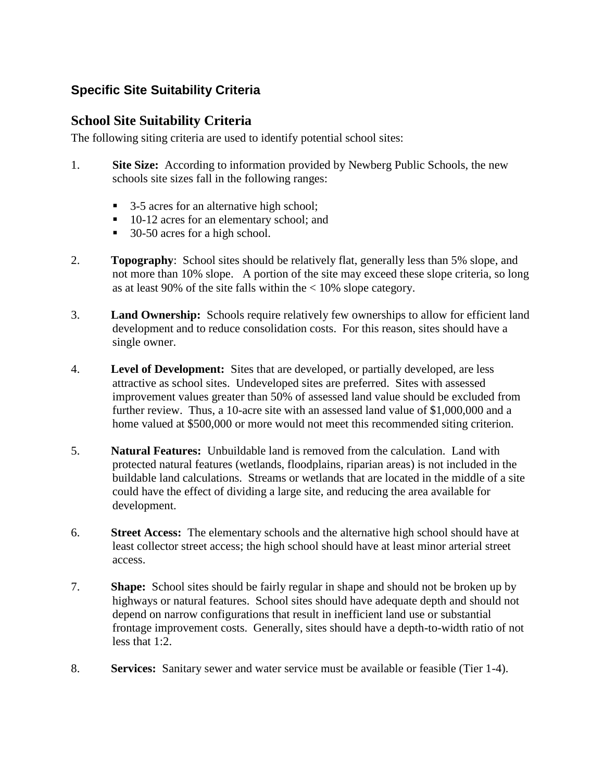## **Specific Site Suitability Criteria**

## **School Site Suitability Criteria**

The following siting criteria are used to identify potential school sites:

- 1. **Site Size:** According to information provided by Newberg Public Schools, the new schools site sizes fall in the following ranges:
	- 3-5 acres for an alternative high school;
	- 10-12 acres for an elementary school; and
	- 30-50 acres for a high school.
- 2. **Topography**: School sites should be relatively flat, generally less than 5% slope, and not more than 10% slope. A portion of the site may exceed these slope criteria, so long as at least 90% of the site falls within the  $< 10\%$  slope category.
- 3. **Land Ownership:** Schools require relatively few ownerships to allow for efficient land development and to reduce consolidation costs. For this reason, sites should have a single owner.
- 4. **Level of Development:** Sites that are developed, or partially developed, are less attractive as school sites. Undeveloped sites are preferred. Sites with assessed improvement values greater than 50% of assessed land value should be excluded from further review. Thus, a 10-acre site with an assessed land value of \$1,000,000 and a home valued at \$500,000 or more would not meet this recommended siting criterion.
- 5. **Natural Features:** Unbuildable land is removed from the calculation. Land with protected natural features (wetlands, floodplains, riparian areas) is not included in the buildable land calculations. Streams or wetlands that are located in the middle of a site could have the effect of dividing a large site, and reducing the area available for development.
- 6. **Street Access:** The elementary schools and the alternative high school should have at least collector street access; the high school should have at least minor arterial street access.
- 7. **Shape:** School sites should be fairly regular in shape and should not be broken up by highways or natural features. School sites should have adequate depth and should not depend on narrow configurations that result in inefficient land use or substantial frontage improvement costs. Generally, sites should have a depth-to-width ratio of not less that 1:2.
- 8. **Services:** Sanitary sewer and water service must be available or feasible (Tier 1-4).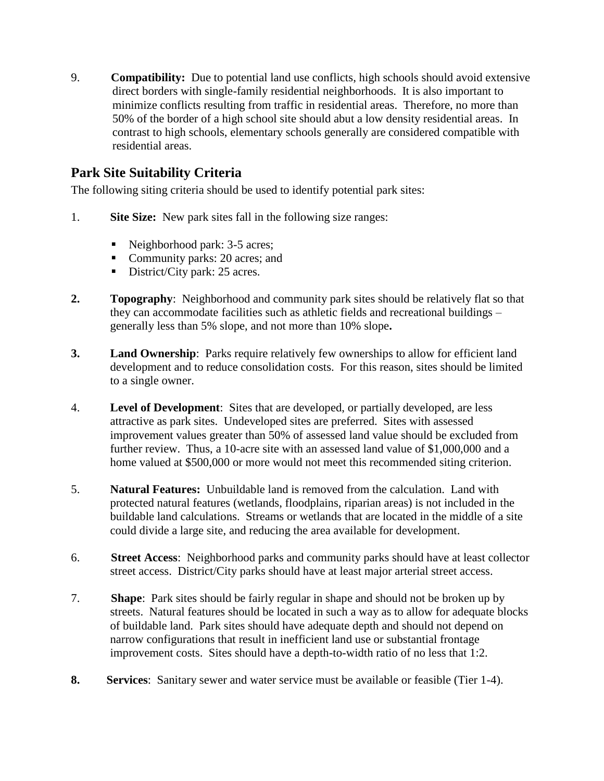9. **Compatibility:** Due to potential land use conflicts, high schools should avoid extensive direct borders with single-family residential neighborhoods. It is also important to minimize conflicts resulting from traffic in residential areas. Therefore, no more than 50% of the border of a high school site should abut a low density residential areas. In contrast to high schools, elementary schools generally are considered compatible with residential areas.

## **Park Site Suitability Criteria**

The following siting criteria should be used to identify potential park sites:

- 1. **Site Size:** New park sites fall in the following size ranges:
	- Neighborhood park: 3-5 acres;
	- Community parks: 20 acres; and
	- District/City park: 25 acres.
- **2. Topography**: Neighborhood and community park sites should be relatively flat so that they can accommodate facilities such as athletic fields and recreational buildings – generally less than 5% slope, and not more than 10% slope**.**
- **3. Land Ownership**: Parks require relatively few ownerships to allow for efficient land development and to reduce consolidation costs. For this reason, sites should be limited to a single owner.
- 4. **Level of Development**: Sites that are developed, or partially developed, are less attractive as park sites. Undeveloped sites are preferred. Sites with assessed improvement values greater than 50% of assessed land value should be excluded from further review. Thus, a 10-acre site with an assessed land value of \$1,000,000 and a home valued at \$500,000 or more would not meet this recommended siting criterion.
- 5. **Natural Features:** Unbuildable land is removed from the calculation. Land with protected natural features (wetlands, floodplains, riparian areas) is not included in the buildable land calculations. Streams or wetlands that are located in the middle of a site could divide a large site, and reducing the area available for development.
- 6. **Street Access**: Neighborhood parks and community parks should have at least collector street access. District/City parks should have at least major arterial street access.
- 7. **Shape**: Park sites should be fairly regular in shape and should not be broken up by streets. Natural features should be located in such a way as to allow for adequate blocks of buildable land. Park sites should have adequate depth and should not depend on narrow configurations that result in inefficient land use or substantial frontage improvement costs. Sites should have a depth-to-width ratio of no less that 1:2.
- **8. Services**: Sanitary sewer and water service must be available or feasible (Tier 1-4).